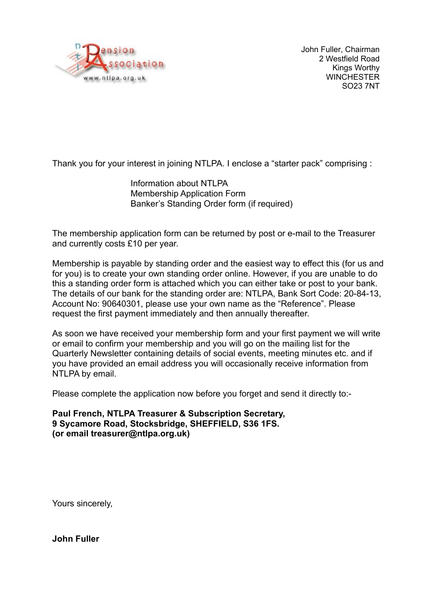

John Fuller, Chairman 2 Westfield Road Kings Worthy **WINCHESTER** SO23 7NT

Thank you for your interest in joining NTLPA. I enclose a "starter pack" comprising :

Information about NTLPA Membership Application Form Banker's Standing Order form (if required)

The membership application form can be returned by post or e-mail to the Treasurer and currently costs £10 per year.

Membership is payable by standing order and the easiest way to effect this (for us and for you) is to create your own standing order online. However, if you are unable to do this a standing order form is attached which you can either take or post to your bank. The details of our bank for the standing order are: NTLPA, Bank Sort Code: 20-84-13, Account No: 90640301, please use your own name as the "Reference". Please request the first payment immediately and then annually thereafter.

As soon we have received your membership form and your first payment we will write or email to confirm your membership and you will go on the mailing list for the Quarterly Newsletter containing details of social events, meeting minutes etc. and if you have provided an email address you will occasionally receive information from NTLPA by email.

Please complete the application now before you forget and send it directly to:-

**Paul French, NTLPA Treasurer & Subscription Secretary, 9 Sycamore Road, Stocksbridge, SHEFFIELD, S36 1FS. (or email treasurer@ntlpa.org.uk)**

Yours sincerely,

**John Fuller**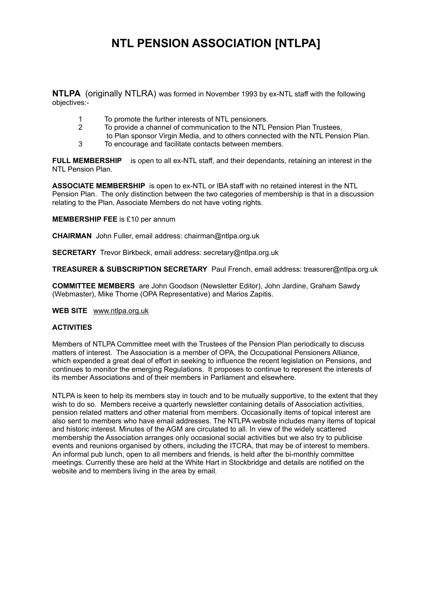## **NTL PENSION ASSOCIATION [NTLPA]**

**NTLPA** (originally NTLRA) was formed in November 1993 by ex-NTL staff with the following objectives:-

- 1 To promote the further interests of NTL pensioners.
- 2 To provide a channel of communication to the NTL Pension Plan Trustees,
- to Plan sponsor Virgin Media, and to others connected with the NTL Pension Plan.
- 3 To encourage and facilitate contacts between members.

**FULL MEMBERSHIP** is open to all ex-NTL staff, and their dependants, retaining an interest in the NTL Pension Plan.

**ASSOCIATE MEMBERSHIP** is open to ex-NTL or IBA staff with no retained interest in the NTL Pension Plan. The only distinction between the two categories of membership is that in a discussion relating to the Plan, Associate Members do not have voting rights.

#### **MEMBERSHIP FEE** is £10 per annum

**CHAIRMAN** John Fuller, email address: chairman@ntlpa.org.uk

**SECRETARY** Trevor Birkbeck, email address: secretary@ntlpa.org.uk

**TREASURER & SUBSCRIPTION SECRETARY** Paul French, email address: treasurer@ntlpa.org.uk

**COMMITTEE MEMBERS** are John Goodson (Newsletter Editor), John Jardine, Graham Sawdy (Webmaster), Mike Thorne (OPA Representative) and Marios Zapitis.

#### **WEB SITE** www.ntlpa.org.uk

#### **ACTIVITIES**

Members of NTLPA Committee meet with the Trustees of the Pension Plan periodically to discuss matters of interest. The Association is a member of OPA, the Occupational Pensioners Alliance, which expended a great deal of effort in seeking to influence the recent legislation on Pensions, and continues to monitor the emerging Regulations. It proposes to continue to represent the interests of its member Associations and of their members in Parliament and elsewhere.

NTLPA is keen to help its members stay in touch and to be mutually supportive, to the extent that they wish to do so. Members receive a quarterly newsletter containing details of Association activities, pension related matters and other material from members. Occasionally items of topical interest are also sent to members who have email addresses. The NTLPA website includes many items of topical and historic interest. Minutes of the AGM are circulated to all. In view of the widely scattered membership the Association arranges only occasional social activities but we also try to publicise events and reunions organised by others, including the ITCRA, that may be of interest to members. An informal pub lunch, open to all members and friends, is held after the bi-monthly committee meetings. Currently these are held at the White Hart in Stockbridge and details are notified on the website and to members living in the area by email.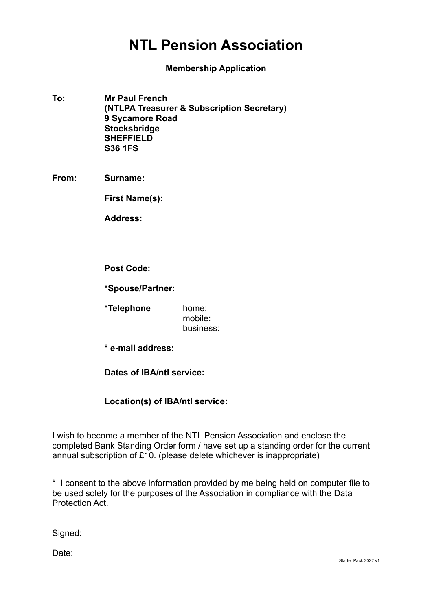# **NTL Pension Association**

**Membership Application**

- **To: Mr Paul French (NTLPA Treasurer & Subscription Secretary) 9 Sycamore Road Stocksbridge SHEFFIELD S36 1FS**
- **From: Surname:**

**First Name(s):**

**Address:**

- **Post Code:**
- **\*Spouse/Partner:**
- **\*Telephone** home: mobile: business:
- **\* e-mail address:**

**Dates of IBA/ntl service:**

### **Location(s) of IBA/ntl service:**

I wish to become a member of the NTL Pension Association and enclose the completed Bank Standing Order form / have set up a standing order for the current annual subscription of £10. (please delete whichever is inappropriate)

\* I consent to the above information provided by me being held on computer file to be used solely for the purposes of the Association in compliance with the Data Protection Act.

Signed:

Date: